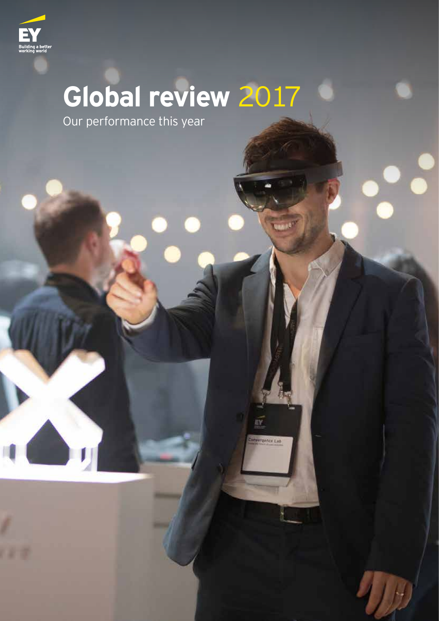

# **Global review** 2017

**THE APP** 

**GARCH LAB** 

Our performance this year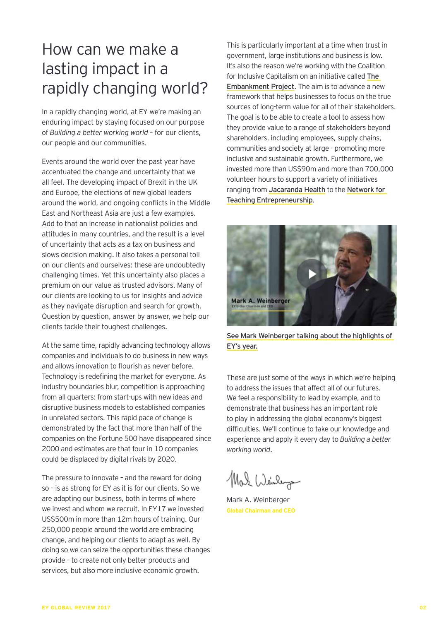# How can we make a lasting impact in a rapidly changing world?

In a rapidly changing world, at EY we're making an enduring impact by staying focused on our purpose of *Building a better working world* – for our clients, our people and our communities.

Events around the world over the past year have accentuated the change and uncertainty that we all feel. The developing impact of Brexit in the UK and Europe, the elections of new global leaders around the world, and ongoing conflicts in the Middle East and Northeast Asia are just a few examples. Add to that an increase in nationalist policies and attitudes in many countries, and the result is a level of uncertainty that acts as a tax on business and slows decision making. It also takes a personal toll on our clients and ourselves: these are undoubtedly challenging times. Yet this uncertainty also places a premium on our value as trusted advisors. Many of our clients are looking to us for insights and advice as they navigate disruption and search for growth. Question by question, answer by answer, we help our clients tackle their toughest challenges.

At the same time, rapidly advancing technology allows companies and individuals to do business in new ways and allows innovation to flourish as never before. Technology is redefining the market for everyone. As industry boundaries blur, competition is approaching from all quarters: from start-ups with new ideas and disruptive business models to established companies in unrelated sectors. This rapid pace of change is demonstrated by the fact that more than half of the companies on the Fortune 500 have disappeared since 2000 and estimates are that four in 10 companies could be displaced by digital rivals by 2020.

The pressure to innovate – and the reward for doing so – is as strong for EY as it is for our clients. So we are adapting our business, both in terms of where we invest and whom we recruit. In FY17 we invested US\$500m in more than 12m hours of training. Our 250,000 people around the world are embracing change, and helping our clients to adapt as well. By doing so we can seize the opportunities these changes provide – to create not only better products and services, but also more inclusive economic growth.

This is particularly important at a time when trust in government, large institutions and business is low. It's also the reason we're working with the Coalition for Inclusive Capitalism on an initiative called The Embankment Project. The aim is to advance a new framework that helps businesses to focus on the true sources of long-term value for all of their stakeholders. The goal is to be able to create a tool to assess how they provide value to a range of stakeholders beyond shareholders, including employees, supply chains, communities and society at large - promoting more inclusive and sustainable growth. Furthermore, we invested more than US\$90m and more than 700,000 volunteer hours to support a variety of initiatives ranging from Jacaranda Health to the Network for Teaching Entrepreneurship.



See Mark Weinberger talking about the highlights of EY's year.

These are just some of the ways in which we're helping to address the issues that affect all of our futures. We feel a responsibility to lead by example, and to demonstrate that business has an important role to play in addressing the global economy's biggest difficulties. We'll continue to take our knowledge and experience and apply it every day to *Building a better working world*.

Mal Weinleys

Mark A. Weinberger **Global Chairman and CEO**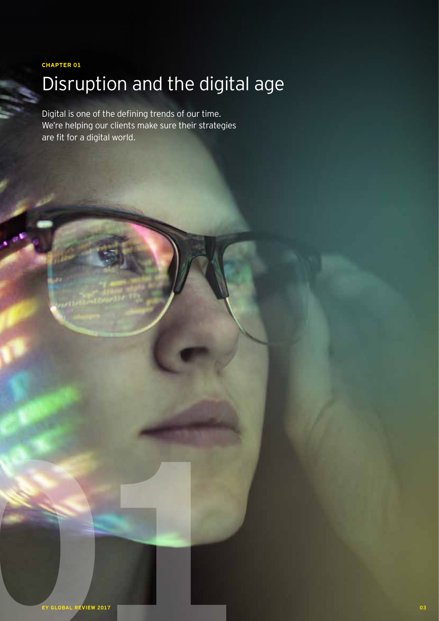**CHAPTER 01**

# Disruption and the digital age

Digital is one of the defining trends of our time. We're helping our clients make sure their strategies are fit for a digital world.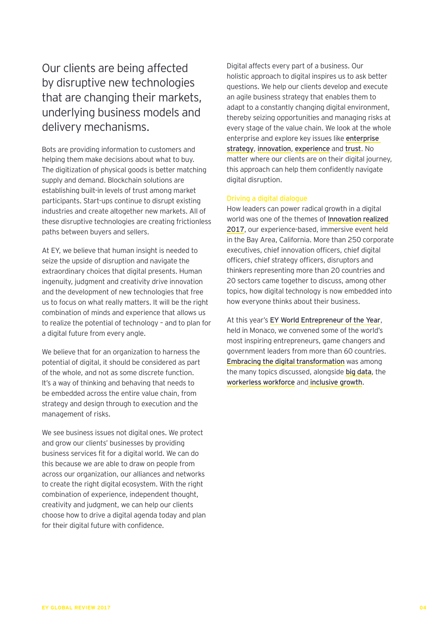Our clients are being affected by disruptive new technologies that are changing their markets, underlying business models and delivery mechanisms.

Bots are providing information to customers and helping them make decisions about what to buy. The digitization of physical goods is better matching supply and demand. Blockchain solutions are establishing built-in levels of trust among market participants. Start-ups continue to disrupt existing industries and create altogether new markets. All of these disruptive technologies are creating frictionless paths between buyers and sellers.

At EY, we believe that human insight is needed to seize the upside of disruption and navigate the extraordinary choices that digital presents. Human ingenuity, judgment and creativity drive innovation and the development of new technologies that free us to focus on what really matters. It will be the right combination of minds and experience that allows us to realize the potential of technology – and to plan for a digital future from every angle.

We believe that for an organization to harness the potential of digital, it should be considered as part of the whole, and not as some discrete function. It's a way of thinking and behaving that needs to be embedded across the entire value chain, from strategy and design through to execution and the management of risks.

We see business issues not digital ones. We protect and grow our clients' businesses by providing business services fit for a digital world. We can do this because we are able to draw on people from across our organization, our alliances and networks to create the right digital ecosystem. With the right combination of experience, independent thought, creativity and judgment, we can help our clients choose how to drive a digital agenda today and plan for their digital future with confidence.

Digital affects every part of a business. Our holistic approach to digital inspires us to ask better questions. We help our clients develop and execute an agile business strategy that enables them to adapt to a constantly changing digital environment, thereby seizing opportunities and managing risks at every stage of the value chain. We look at the whole enterprise and explore key issues like enterprise strategy, innovation, experience and trust. No matter where our clients are on their digital journey, this approach can help them confidently navigate digital disruption.

### Driving a digital dialogue

How leaders can power radical growth in a digital world was one of the themes of Innovation realized 2017, our experience-based, immersive event held in the Bay Area, California. More than 250 corporate executives, chief innovation officers, chief digital officers, chief strategy officers, disruptors and thinkers representing more than 20 countries and 20 sectors came together to discuss, among other topics, how digital technology is now embedded into how everyone thinks about their business.

At this year's EY World Entrepreneur of the Year, held in Monaco, we convened some of the world's most inspiring entrepreneurs, game changers and government leaders from more than 60 countries. Embracing the digital transformation was among the many topics discussed, alongside big data, the workerless workforce and inclusive growth.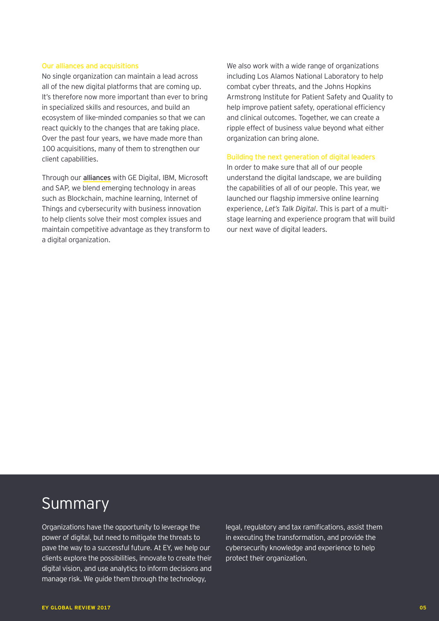#### Our alliances and acquisitions

No single organization can maintain a lead across all of the new digital platforms that are coming up. It's therefore now more important than ever to bring in specialized skills and resources, and build an ecosystem of like-minded companies so that we can react quickly to the changes that are taking place. Over the past four years, we have made more than 100 acquisitions, many of them to strengthen our client capabilities.

Through our alliances with GE Digital, IBM, Microsoft and SAP, we blend emerging technology in areas such as Blockchain, machine learning, Internet of Things and cybersecurity with business innovation to help clients solve their most complex issues and maintain competitive advantage as they transform to a digital organization.

We also work with a wide range of organizations including Los Alamos National Laboratory to help combat cyber threats, and the Johns Hopkins Armstrong Institute for Patient Safety and Quality to help improve patient safety, operational efficiency and clinical outcomes. Together, we can create a ripple effect of business value beyond what either organization can bring alone.

### Building the next generation of digital leaders

In order to make sure that all of our people understand the digital landscape, we are building the capabilities of all of our people. This year, we launched our flagship immersive online learning experience, *Let's Talk Digital*. This is part of a multistage learning and experience program that will build our next wave of digital leaders.

# Summary

Organizations have the opportunity to leverage the power of digital, but need to mitigate the threats to pave the way to a successful future. At EY, we help our clients explore the possibilities, innovate to create their digital vision, and use analytics to inform decisions and manage risk. We guide them through the technology,

legal, regulatory and tax ramifications, assist them in executing the transformation, and provide the cybersecurity knowledge and experience to help protect their organization.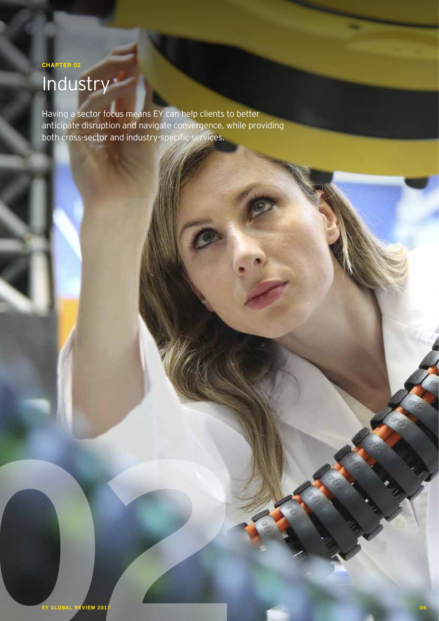# **Industry**

Having a sector focus means EY can help clients to better anticipate disruption and navigate convergence, while providing both cross-sector and industry-specific services.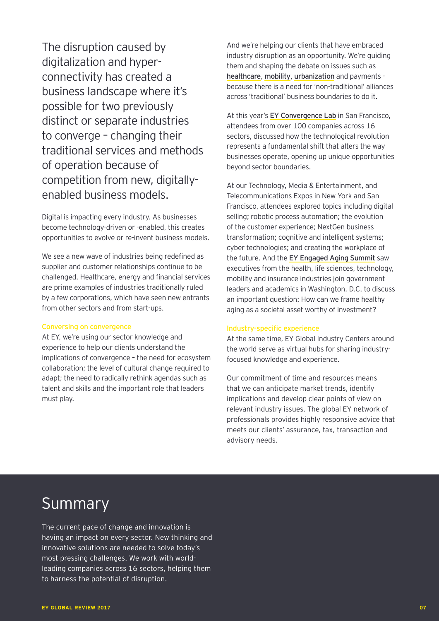The disruption caused by digitalization and hyperconnectivity has created a business landscape where it's possible for two previously distinct or separate industries to converge – changing their traditional services and methods of operation because of competition from new, digitallyenabled business models.

Digital is impacting every industry. As businesses become technology-driven or -enabled, this creates opportunities to evolve or re-invent business models.

We see a new wave of industries being redefined as supplier and customer relationships continue to be challenged. Healthcare, energy and financial services are prime examples of industries traditionally ruled by a few corporations, which have seen new entrants from other sectors and from start-ups.

## Conversing on convergence

At EY, we're using our sector knowledge and experience to help our clients understand the implications of convergence – the need for ecosystem collaboration; the level of cultural change required to adapt; the need to radically rethink agendas such as talent and skills and the important role that leaders must play.

And we're helping our clients that have embraced industry disruption as an opportunity. We're guiding them and shaping the debate on issues such as healthcare, mobility, urbanization and payments because there is a need for 'non-traditional' alliances across 'traditional' business boundaries to do it.

At this year's EY Convergence Lab in San Francisco, attendees from over 100 companies across 16 sectors, discussed how the technological revolution represents a fundamental shift that alters the way businesses operate, opening up unique opportunities beyond sector boundaries.

At our Technology, Media & Entertainment, and Telecommunications Expos in New York and San Francisco, attendees explored topics including digital selling; robotic process automation; the evolution of the customer experience; NextGen business transformation; cognitive and intelligent systems; cyber technologies; and creating the workplace of the future. And the EY Engaged Aging Summit saw executives from the health, life sciences, technology, mobility and insurance industries join government leaders and academics in Washington, D.C. to discuss an important question: How can we frame healthy aging as a societal asset worthy of investment?

#### Industry-specific experience

At the same time, EY Global Industry Centers around the world serve as virtual hubs for sharing industryfocused knowledge and experience.

Our commitment of time and resources means that we can anticipate market trends, identify implications and develop clear points of view on relevant industry issues. The global EY network of professionals provides highly responsive advice that meets our clients' assurance, tax, transaction and advisory needs.

# Summary

The current pace of change and innovation is having an impact on every sector. New thinking and innovative solutions are needed to solve today's most pressing challenges. We work with worldleading companies across 16 sectors, helping them to harness the potential of disruption.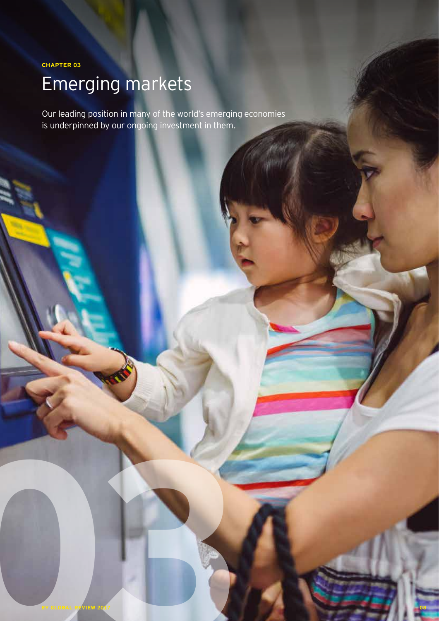## **CHAPTER 03**

# Emerging markets

Our leading position in many of the world's emerging economies is underpinned by our ongoing investment in them.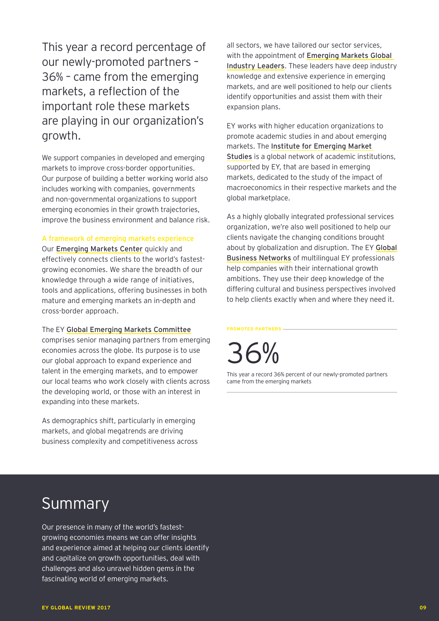This year a record percentage of our newly-promoted partners – 36% – came from the emerging markets, a reflection of the important role these markets are playing in our organization's growth.

We support companies in developed and emerging markets to improve cross-border opportunities. Our purpose of building a better working world also includes working with companies, governments and non-governmental organizations to support emerging economies in their growth trajectories, improve the business environment and balance risk.

## A framework of emerging markets experience

Our Emerging Markets Center quickly and effectively connects clients to the world's fastestgrowing economies. We share the breadth of our knowledge through a wide range of initiatives, tools and applications, offering businesses in both mature and emerging markets an in-depth and cross-border approach.

### The EY Global Emerging Markets Committee

comprises senior managing partners from emerging economies across the globe. Its purpose is to use our global approach to expand experience and talent in the emerging markets, and to empower our local teams who work closely with clients across the developing world, or those with an interest in expanding into these markets.

As demographics shift, particularly in emerging markets, and global megatrends are driving business complexity and competitiveness across all sectors, we have tailored our sector services, with the appointment of Emerging Markets Global Industry Leaders. These leaders have deep industry knowledge and extensive experience in emerging markets, and are well positioned to help our clients identify opportunities and assist them with their expansion plans.

EY works with higher education organizations to promote academic studies in and about emerging markets. The Institute for Emerging Market Studies is a global network of academic institutions, supported by EY, that are based in emerging markets, dedicated to the study of the impact of macroeconomics in their respective markets and the global marketplace.

As a highly globally integrated professional services organization, we're also well positioned to help our clients navigate the changing conditions brought about by globalization and disruption. The EY Global Business Networks of multilingual EY professionals help companies with their international growth ambitions. They use their deep knowledge of the differing cultural and business perspectives involved to help clients exactly when and where they need it.

**PROMOTED PARTNERS**



This year a record 36% percent of our newly-promoted partners came from the emerging markets

# Summary

Our presence in many of the world's fastestgrowing economies means we can offer insights and experience aimed at helping our clients identify and capitalize on growth opportunities, deal with challenges and also unravel hidden gems in the fascinating world of emerging markets.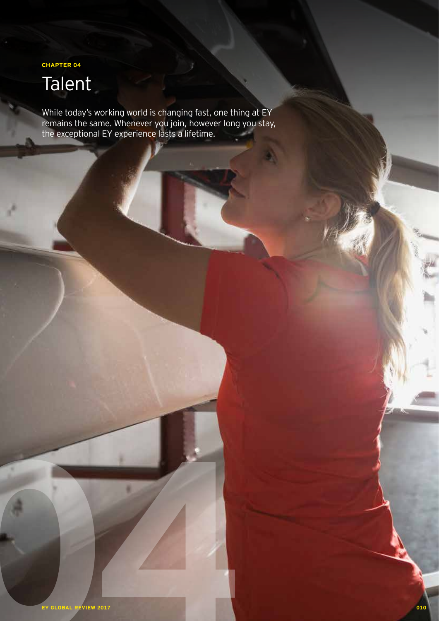**CHAPTER 04**

# Talent

While today's working world is changing fast, one thing at EY remains the same. Whenever you join, however long you stay, the exceptional EY experience lasts a lifetime.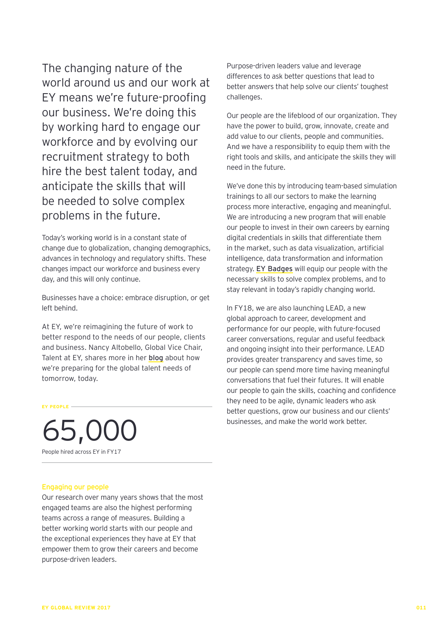The changing nature of the world around us and our work at EY means we're future-proofing our business. We're doing this by working hard to engage our workforce and by evolving our recruitment strategy to both hire the best talent today, and anticipate the skills that will be needed to solve complex problems in the future.

Today's working world is in a constant state of change due to globalization, changing demographics, advances in technology and regulatory shifts. These changes impact our workforce and business every day, and this will only continue.

Businesses have a choice: embrace disruption, or get left behind.

At EY, we're reimagining the future of work to better respond to the needs of our people, clients and business. Nancy Altobello, Global Vice Chair, Talent at EY, shares more in her blog about how we're preparing for the global talent needs of tomorrow, today.

**EY PEOPLE**

65,000 People hired across EY in FY17

### Engaging our people

Our research over many years shows that the most engaged teams are also the highest performing teams across a range of measures. Building a better working world starts with our people and the exceptional experiences they have at EY that empower them to grow their careers and become purpose-driven leaders.

Purpose-driven leaders value and leverage differences to ask better questions that lead to better answers that help solve our clients' toughest challenges.

Our people are the lifeblood of our organization. They have the power to build, grow, innovate, create and add value to our clients, people and communities. And we have a responsibility to equip them with the right tools and skills, and anticipate the skills they will need in the future.

We've done this by introducing team-based simulation trainings to all our sectors to make the learning process more interactive, engaging and meaningful. We are introducing a new program that will enable our people to invest in their own careers by earning digital credentials in skills that differentiate them in the market, such as data visualization, artificial intelligence, data transformation and information strategy. EY Badges will equip our people with the necessary skills to solve complex problems, and to stay relevant in today's rapidly changing world.

In FY18, we are also launching LEAD, a new global approach to career, development and performance for our people, with future-focused career conversations, regular and useful feedback and ongoing insight into their performance. LEAD provides greater transparency and saves time, so our people can spend more time having meaningful conversations that fuel their futures. It will enable our people to gain the skills, coaching and confidence they need to be agile, dynamic leaders who ask better questions, grow our business and our clients' businesses, and make the world work better.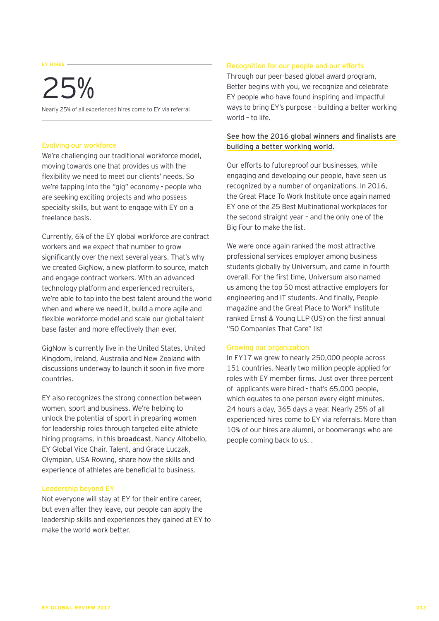#### **EY HIRES**

# 25%

Nearly 25% of all experienced hires come to EY via referral

#### Evolving our workforce

We're challenging our traditional workforce model, moving towards one that provides us with the flexibility we need to meet our clients' needs. So we're tapping into the "gig" economy - people who are seeking exciting projects and who possess specialty skills, but want to engage with EY on a freelance basis.

Currently, 6% of the EY global workforce are contract workers and we expect that number to grow significantly over the next several years. That's why we created GigNow, a new platform to source, match and engage contract workers. With an advanced technology platform and experienced recruiters, we're able to tap into the best talent around the world when and where we need it, build a more agile and flexible workforce model and scale our global talent base faster and more effectively than ever.

GigNow is currently live in the United States, United Kingdom, Ireland, Australia and New Zealand with discussions underway to launch it soon in five more countries.

EY also recognizes the strong connection between women, sport and business. We're helping to unlock the potential of sport in preparing women for leadership roles through targeted elite athlete hiring programs. In this broadcast, Nancy Altobello, EY Global Vice Chair, Talent, and Grace Luczak, Olympian, USA Rowing, share how the skills and experience of athletes are beneficial to business.

## Leadership beyond EY

Not everyone will stay at EY for their entire career, but even after they leave, our people can apply the leadership skills and experiences they gained at EY to make the world work better.

### Recognition for our people and our efforts

Through our peer-based global award program, Better begins with you, we recognize and celebrate EY people who have found inspiring and impactful ways to bring EY's purpose – building a better working world – to life.

## See how the 2016 global winners and finalists are building a better working world.

Our efforts to futureproof our businesses, while engaging and developing our people, have seen us recognized by a number of organizations. In 2016, the Great Place To Work Institute once again named EY one of the 25 Best Multinational workplaces for the second straight year – and the only one of the Big Four to make the list.

We were once again ranked the most attractive professional services employer among business students globally by Universum, and came in fourth overall. For the first time, Universum also named us among the top 50 most attractive employers for engineering and IT students. And finally, People magazine and the Great Place to Work® Institute ranked Ernst & Young LLP (US) on the first annual "50 Companies That Care" list

#### Growing our organization

In FY17 we grew to nearly 250,000 people across 151 countries. Nearly two million people applied for roles with EY member firms. Just over three percent of applicants were hired - that's 65,000 people, which equates to one person every eight minutes, 24 hours a day, 365 days a year. Nearly 25% of all experienced hires come to EY via referrals. More than 10% of our hires are alumni, or boomerangs who are people coming back to us. .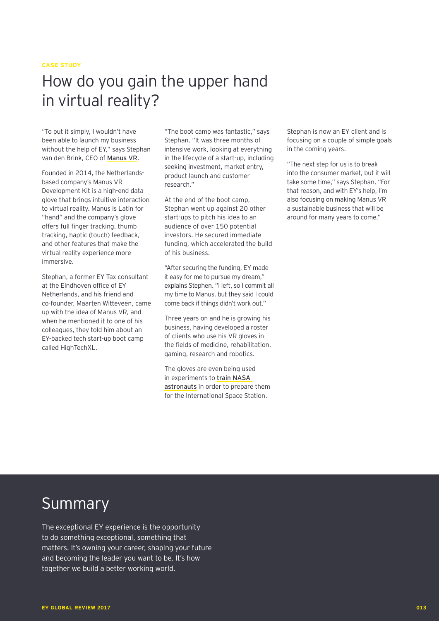### **CASE STUDY**

# How do you gain the upper hand in virtual reality?

"To put it simply, I wouldn't have been able to launch my business without the help of EY," says Stephan van den Brink, CEO of Manus VR.

Founded in 2014, the Netherlandsbased company's Manus VR Development Kit is a high-end data glove that brings intuitive interaction to virtual reality. Manus is Latin for "hand" and the company's glove offers full finger tracking, thumb tracking, haptic (touch) feedback, and other features that make the virtual reality experience more immersive.

Stephan, a former EY Tax consultant at the Eindhoven office of EY Netherlands, and his friend and co-founder, Maarten Witteveen, came up with the idea of Manus VR, and when he mentioned it to one of his colleagues, they told him about an EY-backed tech start-up boot camp called HighTechXL.

"The boot camp was fantastic," says Stephan. "It was three months of intensive work, looking at everything in the lifecycle of a start-up, including seeking investment, market entry, product launch and customer research."

At the end of the boot camp, Stephan went up against 20 other start-ups to pitch his idea to an audience of over 150 potential investors. He secured immediate funding, which accelerated the build of his business.

"After securing the funding, EY made it easy for me to pursue my dream," explains Stephen. "I left, so I commit all my time to Manus, but they said I could come back if things didn't work out."

Three years on and he is growing his business, having developed a roster of clients who use his VR gloves in the fields of medicine, rehabilitation, gaming, research and robotics.

The gloves are even being used in experiments to train NASA astronauts in order to prepare them for the International Space Station.

Stephan is now an EY client and is focusing on a couple of simple goals in the coming years.

"The next step for us is to break into the consumer market, but it will take some time," says Stephan. "For that reason, and with EY's help, I'm also focusing on making Manus VR a sustainable business that will be around for many years to come."

# Summary

The exceptional EY experience is the opportunity to do something exceptional, something that matters. It's owning your career, shaping your future and becoming the leader you want to be. It's how together we build a better working world.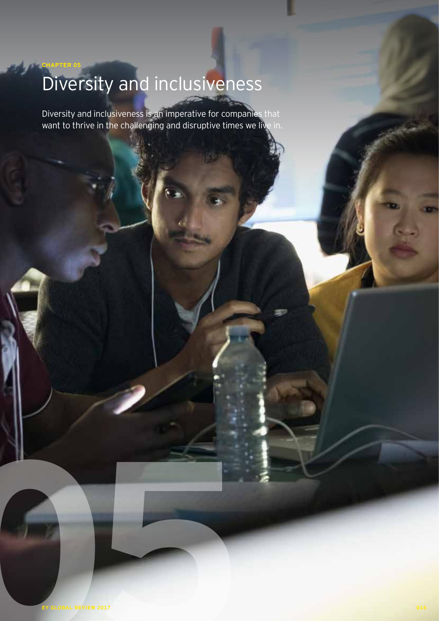# Diversity and inclusiveness

**CHAPTER 05**

Diversity and inclusiveness is an imperative for companies that want to thrive in the challenging and disruptive times we live in.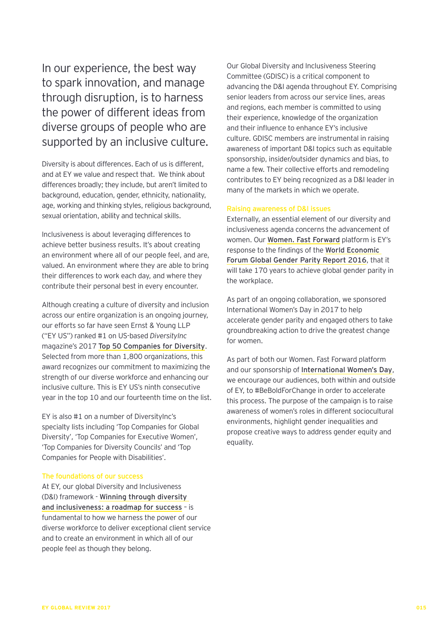In our experience, the best way to spark innovation, and manage through disruption, is to harness the power of different ideas from diverse groups of people who are supported by an inclusive culture.

Diversity is about differences. Each of us is different, and at EY we value and respect that. We think about differences broadly; they include, but aren't limited to background, education, gender, ethnicity, nationality, age, working and thinking styles, religious background, sexual orientation, ability and technical skills.

Inclusiveness is about leveraging differences to achieve better business results. It's about creating an environment where all of our people feel, and are, valued. An environment where they are able to bring their differences to work each day, and where they contribute their personal best in every encounter.

Although creating a culture of diversity and inclusion across our entire organization is an ongoing journey, our efforts so far have seen Ernst & Young LLP ("EY US") ranked #1 on US-based *DiversityInc* magazine's 2017 Top 50 Companies for Diversity. Selected from more than 1,800 organizations, this award recognizes our commitment to maximizing the strength of our diverse workforce and enhancing our inclusive culture. This is EY US's ninth consecutive year in the top 10 and our fourteenth time on the list.

EY is also #1 on a number of DiversityInc's specialty lists including 'Top Companies for Global Diversity', 'Top Companies for Executive Women', 'Top Companies for Diversity Councils' and 'Top Companies for People with Disabilities'.

### The foundations of our success

At EY, our global Diversity and Inclusiveness (D&I) framework - Winning through diversity and inclusiveness: a roadmap for success – is fundamental to how we harness the power of our diverse workforce to deliver exceptional client service and to create an environment in which all of our people feel as though they belong.

Our Global Diversity and Inclusiveness Steering Committee (GDISC) is a critical component to advancing the D&I agenda throughout EY. Comprising senior leaders from across our service lines, areas and regions, each member is committed to using their experience, knowledge of the organization and their influence to enhance EY's inclusive culture. GDISC members are instrumental in raising awareness of important D&I topics such as equitable sponsorship, insider/outsider dynamics and bias, to name a few. Their collective efforts and remodeling contributes to EY being recognized as a D&I leader in many of the markets in which we operate.

#### Raising awareness of D&I issues

Externally, an essential element of our diversity and inclusiveness agenda concerns the advancement of women. Our Women. Fast Forward platform is EY's response to the findings of the World Economic Forum Global Gender Parity Report 2016, that it will take 170 years to achieve global gender parity in the workplace.

As part of an ongoing collaboration, we sponsored International Women's Day in 2017 to help accelerate gender parity and engaged others to take groundbreaking action to drive the greatest change for women.

As part of both our Women. Fast Forward platform and our sponsorship of International Women's Day, we encourage our audiences, both within and outside of EY, to #BeBoldForChange in order to accelerate this process. The purpose of the campaign is to raise awareness of women's roles in different sociocultural environments, highlight gender inequalities and propose creative ways to address gender equity and equality.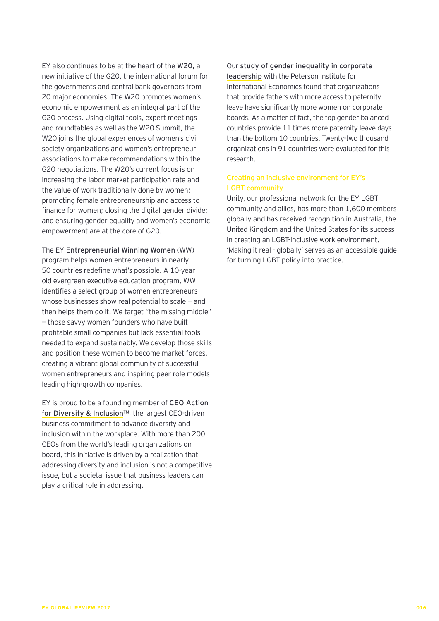EY also continues to be at the heart of the W20, a new initiative of the G20, the international forum for the governments and central bank governors from 20 major economies. The W20 promotes women's economic empowerment as an integral part of the G20 process. Using digital tools, expert meetings and roundtables as well as the W20 Summit, the W20 joins the global experiences of women's civil society organizations and women's entrepreneur associations to make recommendations within the G20 negotiations. The W20's current focus is on increasing the labor market participation rate and the value of work traditionally done by women; promoting female entrepreneurship and access to finance for women; closing the digital gender divide; and ensuring gender equality and women's economic empowerment are at the core of G20.

The EY Entrepreneurial Winning Women (WW) program helps women entrepreneurs in nearly 50 countries redefine what's possible. A 10-year old evergreen executive education program, WW identifies a select group of women entrepreneurs whose businesses show real potential to scale — and then helps them do it. We target "the missing middle" — those savvy women founders who have built profitable small companies but lack essential tools needed to expand sustainably. We develop those skills and position these women to become market forces, creating a vibrant global community of successful women entrepreneurs and inspiring peer role models leading high-growth companies.

EY is proud to be a founding member of CEO Action for Diversity & Inclusion™, the largest CEO-driven business commitment to advance diversity and inclusion within the workplace. With more than 200 CEOs from the world's leading organizations on board, this initiative is driven by a realization that addressing diversity and inclusion is not a competitive issue, but a societal issue that business leaders can play a critical role in addressing.

Our study of gender inequality in corporate leadership with the Peterson Institute for International Economics found that organizations that provide fathers with more access to paternity leave have significantly more women on corporate boards. As a matter of fact, the top gender balanced countries provide 11 times more paternity leave days than the bottom 10 countries. Twenty-two thousand organizations in 91 countries were evaluated for this research.

## Creating an inclusive environment for EY's LGBT community

Unity, our professional network for the EY LGBT community and allies, has more than 1,600 members globally and has received recognition in Australia, the United Kingdom and the United States for its success in creating an LGBT-inclusive work environment. 'Making it real - globally' serves as an accessible guide for turning LGBT policy into practice.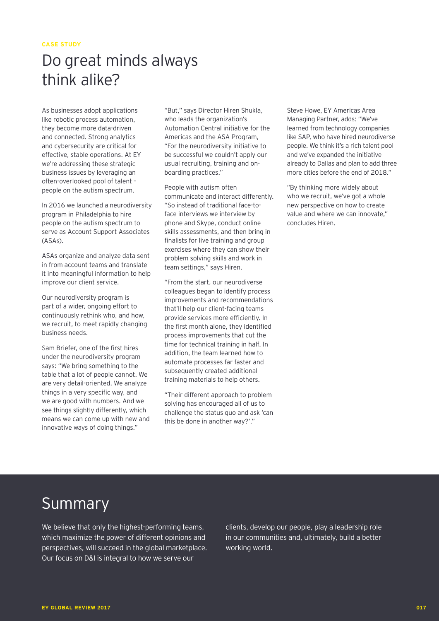# Do great minds always think alike?

As businesses adopt applications like robotic process automation, they become more data-driven and connected. Strong analytics and cybersecurity are critical for effective, stable operations. At EY we're addressing these strategic business issues by leveraging an often-overlooked pool of talent – people on the autism spectrum.

In 2016 we launched a neurodiversity program in Philadelphia to hire people on the autism spectrum to serve as Account Support Associates (ASAs).

ASAs organize and analyze data sent in from account teams and translate it into meaningful information to help improve our client service.

Our neurodiversity program is part of a wider, ongoing effort to continuously rethink who, and how, we recruit, to meet rapidly changing business needs.

Sam Briefer, one of the first hires under the neurodiversity program says: "We bring something to the table that a lot of people cannot. We are very detail-oriented. We analyze things in a very specific way, and we are good with numbers. And we see things slightly differently, which means we can come up with new and innovative ways of doing things."

"But," says Director Hiren Shukla, who leads the organization's Automation Central initiative for the Americas and the ASA Program, "For the neurodiversity initiative to be successful we couldn't apply our usual recruiting, training and onboarding practices."

People with autism often communicate and interact differently. "So instead of traditional face-toface interviews we interview by phone and Skype, conduct online skills assessments, and then bring in finalists for live training and group exercises where they can show their problem solving skills and work in team settings," says Hiren.

"From the start, our neurodiverse colleagues began to identify process improvements and recommendations that'll help our client-facing teams provide services more efficiently. In the first month alone, they identified process improvements that cut the time for technical training in half. In addition, the team learned how to automate processes far faster and subsequently created additional training materials to help others.

"Their different approach to problem solving has encouraged all of us to challenge the status quo and ask 'can this be done in another way?'."

Steve Howe, EY Americas Area Managing Partner, adds: "We've learned from technology companies like SAP, who have hired neurodiverse people. We think it's a rich talent pool and we've expanded the initiative already to Dallas and plan to add three more cities before the end of 2018."

"By thinking more widely about who we recruit, we've got a whole new perspective on how to create value and where we can innovate," concludes Hiren.

# Summary

We believe that only the highest-performing teams, which maximize the power of different opinions and perspectives, will succeed in the global marketplace. Our focus on D&I is integral to how we serve our

clients, develop our people, play a leadership role in our communities and, ultimately, build a better working world.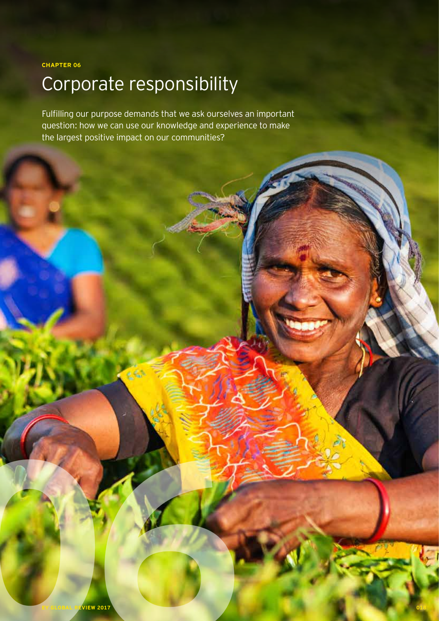**CHAPTER 06**

# Corporate responsibility

Fulfilling our purpose demands that we ask ourselves an important question: how we can use our knowledge and experience to make the largest positive impact on our communities?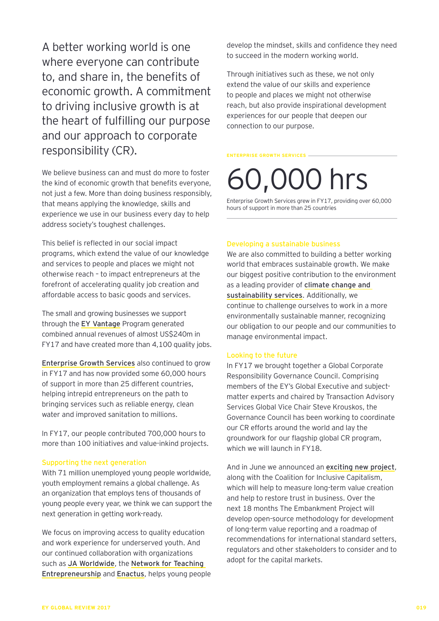A better working world is one where everyone can contribute to, and share in, the benefits of economic growth. A commitment to driving inclusive growth is at the heart of fulfilling our purpose and our approach to corporate responsibility (CR).

We believe business can and must do more to foster the kind of economic growth that benefits everyone, not just a few. More than doing business responsibly, that means applying the knowledge, skills and experience we use in our business every day to help address society's toughest challenges.

This belief is reflected in our social impact programs, which extend the value of our knowledge and services to people and places we might not otherwise reach – to impact entrepreneurs at the forefront of accelerating quality job creation and affordable access to basic goods and services.

The small and growing businesses we support through the EY Vantage Program generated combined annual revenues of almost US\$240m in FY17 and have created more than 4,100 quality jobs.

Enterprise Growth Services also continued to grow in FY17 and has now provided some 60,000 hours of support in more than 25 different countries, helping intrepid entrepreneurs on the path to bringing services such as reliable energy, clean water and improved sanitation to millions.

In FY17, our people contributed 700,000 hours to more than 100 initiatives and value-inkind projects.

#### Supporting the next generation

With 71 million unemployed young people worldwide, youth employment remains a global challenge. As an organization that employs tens of thousands of young people every year, we think we can support the next generation in getting work-ready.

We focus on improving access to quality education and work experience for underserved youth. And our continued collaboration with organizations such as JA Worldwide, the Network for Teaching Entrepreneurship and Enactus, helps young people develop the mindset, skills and confidence they need to succeed in the modern working world.

Through initiatives such as these, we not only extend the value of our skills and experience to people and places we might not otherwise reach, but also provide inspirational development experiences for our people that deepen our connection to our purpose.

#### **ENTERPRISE GROWTH SERVICES**

# 60,000 hrs

Enterprise Growth Services grew in FY17, providing over 60,000 hours of support in more than 25 countries

#### Developing a sustainable business

We are also committed to building a better working world that embraces sustainable growth. We make our biggest positive contribution to the environment as a leading provider of climate change and sustainability services. Additionally, we continue to challenge ourselves to work in a more environmentally sustainable manner, recognizing our obligation to our people and our communities to manage environmental impact.

#### Looking to the future

In FY17 we brought together a Global Corporate Responsibility Governance Council. Comprising members of the EY's Global Executive and subjectmatter experts and chaired by Transaction Advisory Services Global Vice Chair Steve Krouskos, the Governance Council has been working to coordinate our CR efforts around the world and lay the groundwork for our flagship global CR program, which we will launch in FY18.

And in June we announced an exciting new project, along with the Coalition for Inclusive Capitalism, which will help to measure long-term value creation and help to restore trust in business. Over the next 18 months The Embankment Project will develop open-source methodology for development of long-term value reporting and a roadmap of recommendations for international standard setters, regulators and other stakeholders to consider and to adopt for the capital markets.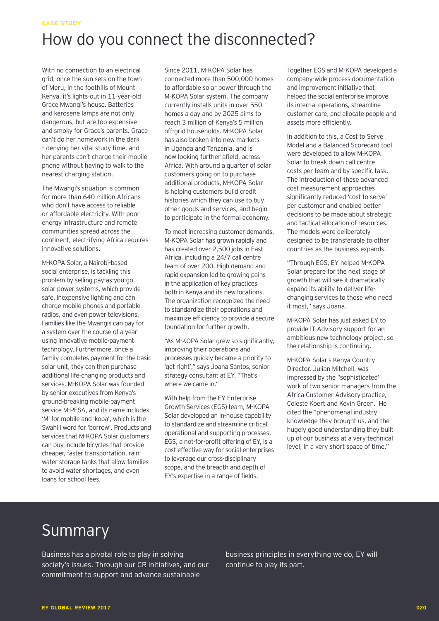## **CASE STUDY** How do you connect the disconnected?

With no connection to an electrical grid, once the sun sets on the town of Meru, in the foothills of Mount Kenya, it's lights-out in 11-year-old Grace Mwangi's house. Batteries and kerosene lamps are not only dangerous, but are too expensive and smoky for Grace's parents. Grace can't do her homework in the dark – denying her vital study time, and her parents can't charge their mobile phone without having to walk to the nearest charging station.

The Mwangi's situation is common for more than 640 million Africans who don't have access to reliable or affordable electricity. With poor energy infrastructure and remote communities spread across the continent, electrifying Africa requires innovative solutions.

M-KOPA Solar, a Nairobi-based social enterprise, is tackling this problem by selling pay-as-you-go solar power systems, which provide safe, inexpensive lighting and can charge mobile phones and portable radios, and even power televisions. Families like the Mwangis can pay for a system over the course of a year using innovative mobile-payment technology. Furthermore, once a family completes payment for the basic solar unit, they can then purchase additional life-changing products and services. M-KOPA Solar was founded by senior executives from Kenya's ground-breaking mobile-payment service M-PESA, and its name includes 'M' for mobile and 'kopa', which is the Swahili word for 'borrow'. Products and services that M-KOPA Solar customers can buy include bicycles that provide cheaper, faster transportation, rainwater storage tanks that allow families to avoid water shortages, and even loans for school fees.

Since 2011, M-KOPA Solar has connected more than 500,000 homes to affordable solar power through the M-KOPA Solar system. The company currently installs units in over 550 homes a day and by 2025 aims to reach 3 million of Kenya's 5 million off-grid households. M-KOPA Solar has also broken into new markets in Uganda and Tanzania, and is now looking further afield, across Africa. With around a quarter of solar customers going on to purchase additional products, M-KOPA Solar is helping customers build credit histories which they can use to buy other goods and services, and begin to participate in the formal economy.

To meet increasing customer demands, M-KOPA Solar has grown rapidly and has created over 2,500 jobs in East Africa, including a 24/7 call centre team of over 200. High demand and rapid expansion led to growing pains in the application of key practices both in Kenya and its new locations. The organization recognized the need to standardize their operations and maximize efficiency to provide a secure foundation for further growth.

"As M-KOPA Solar grew so significantly, improving their operations and processes quickly became a priority to 'get right'," says Joana Santos, senior strategy consultant at EY. "That's where we came in."

With help from the EY Enterprise Growth Services (EGS) team, M-KOPA Solar developed an in-house capability to standardize and streamline critical operational and supporting processes. EGS, a not-for-profit offering of EY, is a cost effective way for social enterprises to leverage our cross-disciplinary scope, and the breadth and depth of EY's expertise in a range of fields.

Together EGS and M-KOPA developed a company-wide process documentation and improvement initiative that helped the social enterprise improve its internal operations, streamline customer care, and allocate people and assets more efficiently.

In addition to this, a Cost to Serve Model and a Balanced Scorecard tool were developed to allow M-KOPA Solar to break down call centre costs per team and by specific task. The introduction of these advanced cost measurement approaches significantly reduced 'cost to serve' per customer and enabled better decisions to be made about strategic and tactical allocation of resources. The models were deliberately designed to be transferable to other countries as the business expands.

"Through EGS, EY helped M-KOPA Solar prepare for the next stage of growth that will see it dramatically expand its ability to deliver lifechanging services to those who need it most," says Joana.

M-KOPA Solar has just asked EY to provide IT Advisory support for an ambitious new technology project, so the relationship is continuing.

M-KOPA Solar's Kenya Country Director, Julian Mitchell, was impressed by the "sophisticated" work of two senior managers from the Africa Customer Advisory practice, Celeste Koert and Kevin Green. He cited the "phenomenal industry knowledge they brought us, and the hugely good understanding they built up of our business at a very technical level, in a very short space of time."

# Summary

Business has a pivotal role to play in solving society's issues. Through our CR initiatives, and our commitment to support and advance sustainable

business principles in everything we do, EY will continue to play its part.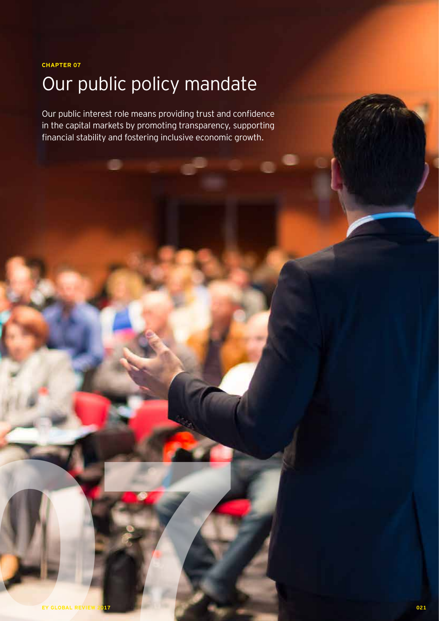**CHAPTER 07**

# Our public policy mandate

Our public interest role means providing trust and confidence in the capital markets by promoting transparency, supporting financial stability and fostering inclusive economic growth.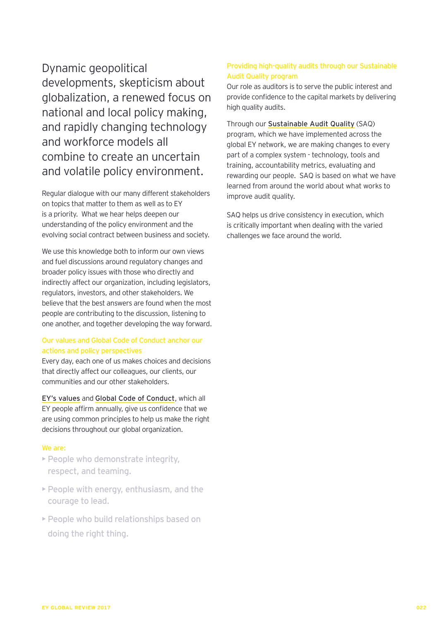Dynamic geopolitical developments, skepticism about globalization, a renewed focus on national and local policy making, and rapidly changing technology and workforce models all combine to create an uncertain and volatile policy environment.

Regular dialogue with our many different stakeholders on topics that matter to them as well as to EY is a priority. What we hear helps deepen our understanding of the policy environment and the evolving social contract between business and society.

We use this knowledge both to inform our own views and fuel discussions around regulatory changes and broader policy issues with those who directly and indirectly affect our organization, including legislators, regulators, investors, and other stakeholders. We believe that the best answers are found when the most people are contributing to the discussion, listening to one another, and together developing the way forward.

## Our values and Global Code of Conduct anchor our actions and policy perspectives

Every day, each one of us makes choices and decisions that directly affect our colleagues, our clients, our communities and our other stakeholders.

EY's values and Global Code of Conduct, which all EY people affirm annually, give us confidence that we are using common principles to help us make the right decisions throughout our global organization.

## We are:

- People who demonstrate integrity, respect, and teaming.
- People with energy, enthusiasm, and the courage to lead.
- People who build relationships based on doing the right thing.

## Providing high-quality audits through our Sustainable Audit Quality program

Our role as auditors is to serve the public interest and provide confidence to the capital markets by delivering high quality audits.

Through our Sustainable Audit Quality (SAQ) program, which we have implemented across the global EY network, we are making changes to every part of a complex system - technology, tools and training, accountability metrics, evaluating and rewarding our people. SAQ is based on what we have learned from around the world about what works to improve audit quality.

SAQ helps us drive consistency in execution, which is critically important when dealing with the varied challenges we face around the world.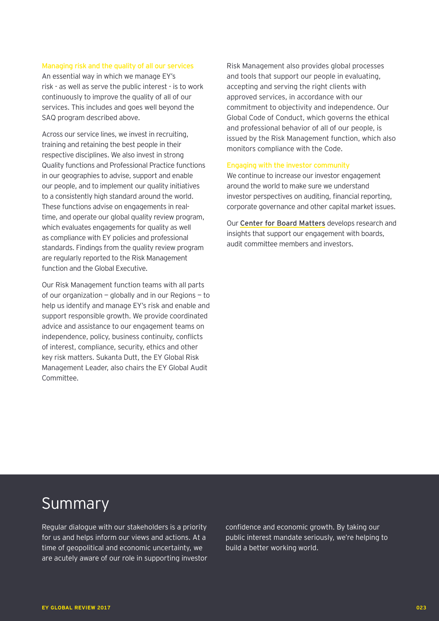#### Managing risk and the quality of all our services

An essential way in which we manage EY's risk - as well as serve the public interest - is to work continuously to improve the quality of all of our services. This includes and goes well beyond the SAQ program described above.

Across our service lines, we invest in recruiting, training and retaining the best people in their respective disciplines. We also invest in strong Quality functions and Professional Practice functions in our geographies to advise, support and enable our people, and to implement our quality initiatives to a consistently high standard around the world. These functions advise on engagements in realtime, and operate our global quality review program, which evaluates engagements for quality as well as compliance with EY policies and professional standards. Findings from the quality review program are regularly reported to the Risk Management function and the Global Executive.

Our Risk Management function teams with all parts of our organization — globally and in our Regions — to help us identify and manage EY's risk and enable and support responsible growth. We provide coordinated advice and assistance to our engagement teams on independence, policy, business continuity, conflicts of interest, compliance, security, ethics and other key risk matters. Sukanta Dutt, the EY Global Risk Management Leader, also chairs the EY Global Audit Committee.

Risk Management also provides global processes and tools that support our people in evaluating, accepting and serving the right clients with approved services, in accordance with our commitment to objectivity and independence. Our Global Code of Conduct, which governs the ethical and professional behavior of all of our people, is issued by the Risk Management function, which also monitors compliance with the Code.

### Engaging with the investor community

We continue to increase our investor engagement around the world to make sure we understand investor perspectives on auditing, financial reporting, corporate governance and other capital market issues.

Our Center for Board Matters develops research and insights that support our engagement with boards, audit committee members and investors.

# Summary

Regular dialogue with our stakeholders is a priority for us and helps inform our views and actions. At a time of geopolitical and economic uncertainty, we are acutely aware of our role in supporting investor

confidence and economic growth. By taking our public interest mandate seriously, we're helping to build a better working world.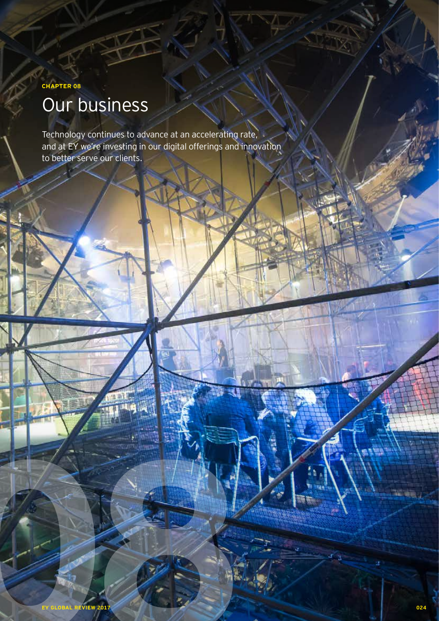# **CHAPTER 08** Our business

Technology continues to advance at an accelerating rate, and at EY we're investing in our digital offerings and innovation to better serve our clients.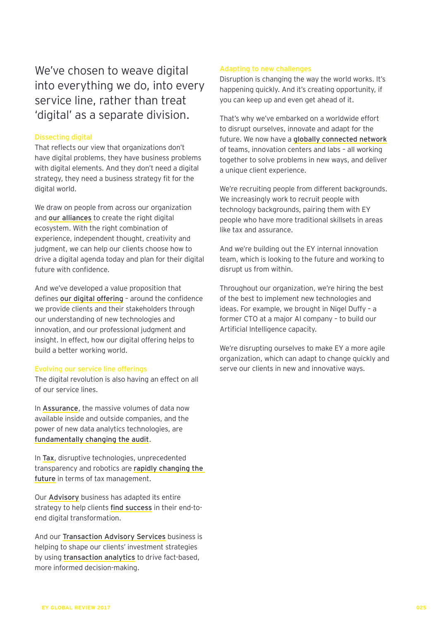## We've chosen to weave digital into everything we do, into every service line, rather than treat 'digital' as a separate division.

## Dissecting digital

That reflects our view that organizations don't have digital problems, they have business problems with digital elements. And they don't need a digital strategy, they need a business strategy fit for the digital world.

We draw on people from across our organization and our alliances to create the right digital ecosystem. With the right combination of experience, independent thought, creativity and judgment, we can help our clients choose how to drive a digital agenda today and plan for their digital future with confidence.

And we've developed a value proposition that defines our digital offering - around the confidence we provide clients and their stakeholders through our understanding of new technologies and innovation, and our professional judgment and insight. In effect, how our digital offering helps to build a better working world.

## Evolving our service line offerings

The digital revolution is also having an effect on all of our service lines.

In Assurance, the massive volumes of data now available inside and outside companies, and the power of new data analytics technologies, are fundamentally changing the audit.

In Tax, disruptive technologies, unprecedented transparency and robotics are rapidly changing the future in terms of tax management.

Our Advisory business has adapted its entire strategy to help clients find success in their end-toend digital transformation.

And our Transaction Advisory Services business is helping to shape our clients' investment strategies by using transaction analytics to drive fact-based, more informed decision-making.

## Adapting to new challenges

Disruption is changing the way the world works. It's happening quickly. And it's creating opportunity, if you can keep up and even get ahead of it.

That's why we've embarked on a worldwide effort to disrupt ourselves, innovate and adapt for the future. We now have a globally connected network of teams, innovation centers and labs – all working together to solve problems in new ways, and deliver a unique client experience.

We're recruiting people from different backgrounds. We increasingly work to recruit people with technology backgrounds, pairing them with EY people who have more traditional skillsets in areas like tax and assurance.

And we're building out the EY internal innovation team, which is looking to the future and working to disrupt us from within.

Throughout our organization, we're hiring the best of the best to implement new technologies and ideas. For example, we brought in Nigel Duffy – a former CTO at a major AI company – to build our Artificial Intelligence capacity.

We're disrupting ourselves to make EY a more agile organization, which can adapt to change quickly and serve our clients in new and innovative ways.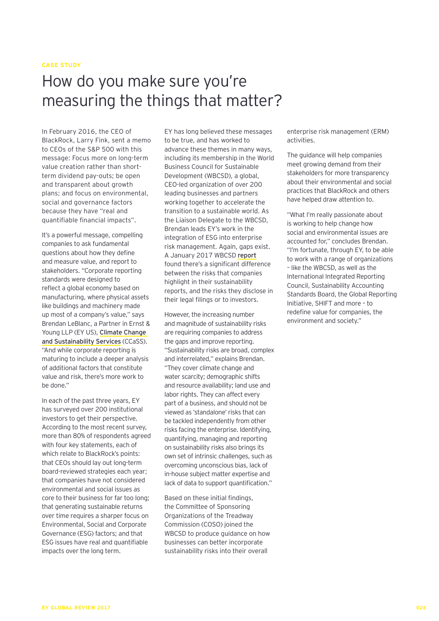### **CASE STUDY**

# How do you make sure you're measuring the things that matter?

In February 2016, the CEO of BlackRock, Larry Fink, sent a memo to CEOs of the S&P 500 with this message: Focus more on long-term value creation rather than shortterm dividend pay-outs; be open and transparent about growth plans; and focus on environmental, social and governance factors because they have "real and quantifiable financial impacts".

It's a powerful message, compelling companies to ask fundamental questions about how they define and measure value, and report to stakeholders. "Corporate reporting standards were designed to reflect a global economy based on manufacturing, where physical assets like buildings and machinery made up most of a company's value," says Brendan LeBlanc, a Partner in Ernst & Young LLP (EY US), Climate Change and Sustainability Services (CCaSS). "And while corporate reporting is maturing to include a deeper analysis of additional factors that constitute value and risk, there's more work to be done."

In each of the past three years, EY has surveyed over 200 institutional investors to get their perspective. According to the most recent survey, more than 80% of respondents agreed with four key statements, each of which relate to BlackRock's points: that CEOs should lay out long-term board-reviewed strategies each year; that companies have not considered environmental and social issues as core to their business for far too long; that generating sustainable returns over time requires a sharper focus on Environmental, Social and Corporate Governance (ESG) factors; and that ESG issues have real and quantifiable impacts over the long term.

EY has long believed these messages to be true, and has worked to advance these themes in many ways, including its membership in the World Business Council for Sustainable Development (WBCSD), a global, CEO-led organization of over 200 leading businesses and partners working together to accelerate the transition to a sustainable world. As the Liaison Delegate to the WBCSD, Brendan leads EY's work in the integration of ESG into enterprise risk management. Again, gaps exist. A January 2017 WBCSD report found there's a significant difference between the risks that companies highlight in their sustainability reports, and the risks they disclose in their legal filings or to investors.

However, the increasing number and magnitude of sustainability risks are requiring companies to address the gaps and improve reporting. "Sustainability risks are broad, complex and interrelated," explains Brendan. "They cover climate change and water scarcity; demographic shifts and resource availability; land use and labor rights. They can affect every part of a business, and should not be viewed as 'standalone' risks that can be tackled independently from other risks facing the enterprise. Identifying, quantifying, managing and reporting on sustainability risks also brings its own set of intrinsic challenges, such as overcoming unconscious bias, lack of in-house subject matter expertise and lack of data to support quantification."

Based on these initial findings, the Committee of Sponsoring Organizations of the Treadway Commission (COSO) joined the WBCSD to produce guidance on how businesses can better incorporate sustainability risks into their overall

enterprise risk management (ERM) activities.

The guidance will help companies meet growing demand from their stakeholders for more transparency about their environmental and social practices that BlackRock and others have helped draw attention to.

"What I'm really passionate about is working to help change how social and environmental issues are accounted for," concludes Brendan. "I'm fortunate, through EY, to be able to work with a range of organizations – like the WBCSD, as well as the International Integrated Reporting Council, Sustainability Accounting Standards Board, the Global Reporting Initiative, SHIFT and more – to redefine value for companies, the environment and society."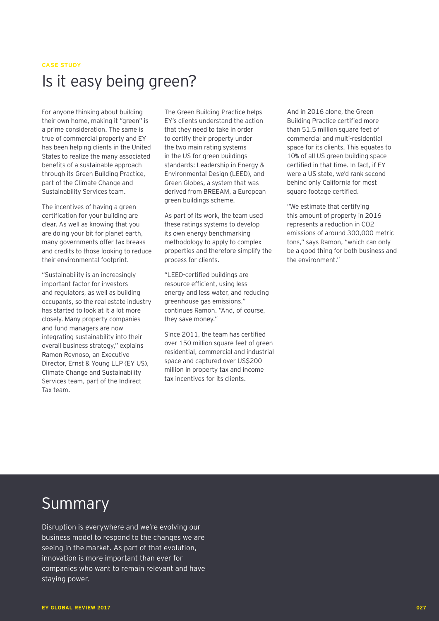#### **CASE STUDY**

# Is it easy being green?

For anyone thinking about building their own home, making it "green" is a prime consideration. The same is true of commercial property and EY has been helping clients in the United States to realize the many associated benefits of a sustainable approach through its Green Building Practice, part of the Climate Change and Sustainability Services team.

The incentives of having a green certification for your building are clear. As well as knowing that you are doing your bit for planet earth, many governments offer tax breaks and credits to those looking to reduce their environmental footprint.

"Sustainability is an increasingly important factor for investors and regulators, as well as building occupants, so the real estate industry has started to look at it a lot more closely. Many property companies and fund managers are now integrating sustainability into their overall business strategy," explains Ramon Reynoso, an Executive Director, Ernst & Young LLP (EY US), Climate Change and Sustainability Services team, part of the Indirect Tax team.

The Green Building Practice helps EY's clients understand the action that they need to take in order to certify their property under the two main rating systems in the US for green buildings standards: Leadership in Energy & Environmental Design (LEED), and Green Globes, a system that was derived from BREEAM, a European green buildings scheme.

As part of its work, the team used these ratings systems to develop its own energy benchmarking methodology to apply to complex properties and therefore simplify the process for clients.

"LEED-certified buildings are resource efficient, using less energy and less water, and reducing greenhouse gas emissions," continues Ramon. "And, of course, they save money."

Since 2011, the team has certified over 150 million square feet of green residential, commercial and industrial space and captured over US\$200 million in property tax and income tax incentives for its clients.

And in 2016 alone, the Green Building Practice certified more than 51.5 million square feet of commercial and multi-residential space for its clients. This equates to 10% of all US green building space certified in that time. In fact, if EY were a US state, we'd rank second behind only California for most square footage certified.

"We estimate that certifying this amount of property in 2016 represents a reduction in CO2 emissions of around 300,000 metric tons," says Ramon, "which can only be a good thing for both business and the environment."

# Summary

Disruption is everywhere and we're evolving our business model to respond to the changes we are seeing in the market. As part of that evolution, innovation is more important than ever for companies who want to remain relevant and have staying power.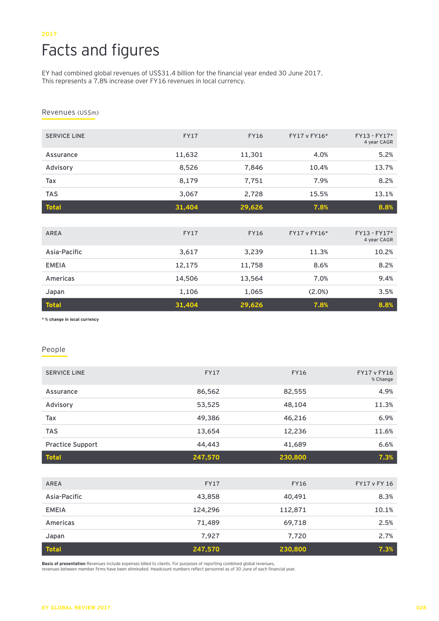## **2017** Facts and figures

EY had combined global revenues of US\$31.4 billion for the financial year ended 30 June 2017. This represents a 7.8% increase over FY16 revenues in local currency.

Revenues (US\$m)

| <b>SERVICE LINE</b> | <b>FY17</b> | <b>FY16</b> | FY17 v FY16* | FY13 - FY17*<br>4 year CAGR   |
|---------------------|-------------|-------------|--------------|-------------------------------|
| Assurance           | 11,632      | 11,301      | 4.0%         | 5.2%                          |
| Advisory            | 8,526       | 7,846       | 10.4%        | 13.7%                         |
| Tax                 | 8,179       | 7,751       | 7.9%         | 8.2%                          |
| <b>TAS</b>          | 3,067       | 2,728       | 15.5%        | 13.1%                         |
| <b>Total</b>        | 31,404      | 29,626      | 7.8%         | 8.8%                          |
|                     |             |             |              |                               |
| <b>AREA</b>         | <b>FY17</b> | <b>FY16</b> | FY17 v FY16* | $FY13 - FY17*$<br>4 year CAGR |
| Asia-Pacific        | 3,617       | 3,239       | 11.3%        | 10.2%                         |
| <b>EMEIA</b>        | 12,175      | 11,758      | 8.6%         | 8.2%                          |
| Americas            | 14,506      | 13,564      | 7.0%         | 9.4%                          |
| Japan               | 1,106       | 1,065       | (2.0%)       | 3.5%                          |
| <b>Total</b>        | 31,404      | 29,626      | 7.8%         | 8.8%                          |

**\* % change in local currency**

#### People

| <b>SERVICE LINE</b>     | <b>FY17</b> | <b>FY16</b> | <b>FY17 v FY16</b><br>% Change |
|-------------------------|-------------|-------------|--------------------------------|
| Assurance               | 86,562      | 82,555      | 4.9%                           |
| Advisory                | 53,525      | 48,104      | 11.3%                          |
| Tax                     | 49,386      | 46,216      | 6.9%                           |
| <b>TAS</b>              | 13,654      | 12,236      | 11.6%                          |
| <b>Practice Support</b> | 44,443      | 41,689      | 6.6%                           |
| <b>Total</b>            | 247,570     | 230,800     | 7.3%                           |
|                         |             |             |                                |
| <b>AREA</b>             | <b>FY17</b> | <b>FY16</b> | FY17 v FY 16                   |
| Asia-Pacific            | 43,858      | 40,491      | 8.3%                           |
| <b>EMEIA</b>            | 124,296     | 112,871     | 10.1%                          |
| Americas                | 71,489      | 69,718      | 2.5%                           |
| Japan                   | 7,927       | 7,720       | 2.7%                           |
| <b>Total</b>            | 247,570     | 230,800     | 7.3%                           |

**Basis of presentation** Revenues include expenses billed to clients. For purposes of reporting combined global revenues,

revenues between member firms have been eliminated. Headcount numbers reflect personnel as of 30 June of each financial year.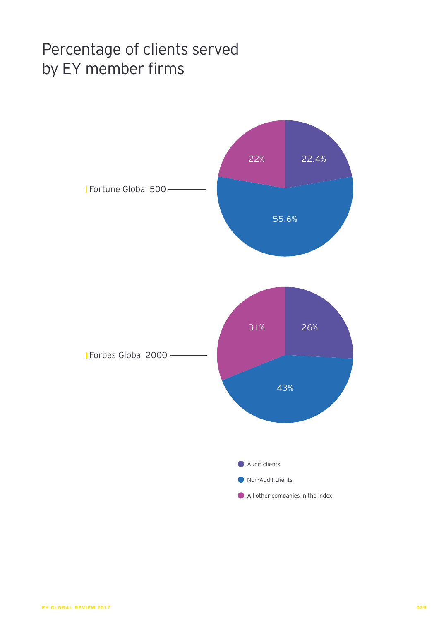# Percentage of clients served by EY member firms

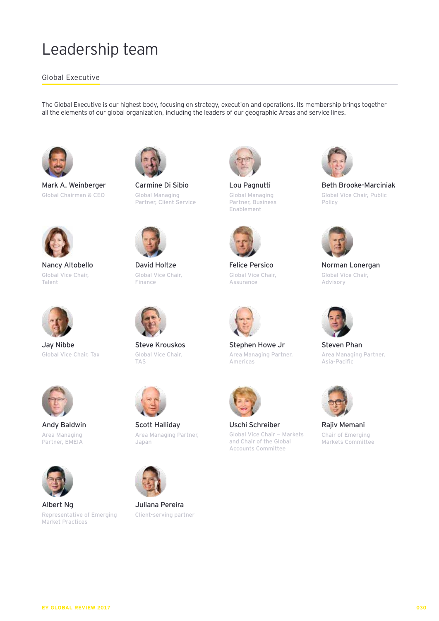# Leadership team

## Global Executive

The Global Executive is our highest body, focusing on strategy, execution and operations. Its membership brings together all the elements of our global organization, including the leaders of our geographic Areas and service lines.



Mark A. Weinberger Global Chairman & CEO



Nancy Altobello Global Vice Chair, Talent



Jay Nibbe Global Vice Chair, Tax



Andy Baldwin Area Managing Partner, EMEIA



Albert Ng Representative of Emerging Market Practices



Carmine Di Sibio Global Managing Partner, Client Service



David Holtze Global Vice Chair, Finance



Steve Krouskos Global Vice Chair, TAS



Scott Halliday Area Managing Partner, Japan



Juliana Pereira Client-serving partner



Lou Pagnutti Global Managing Partner, Business Enablement



Felice Persico Global Vice Chair, Assurance



Stephen Howe Jr Area Managing Partner, Americas



Uschi Schreiber Global Vice Chair — Markets and Chair of the Global Accounts Committee



Beth Brooke-Marciniak Global Vice Chair, Public Policy



Norman Lonergan Global Vice Chair, Advisory



Steven Phan Area Managing Partner, Asia-Pacific



Rajiv Memani Chair of Emerging Markets Committee

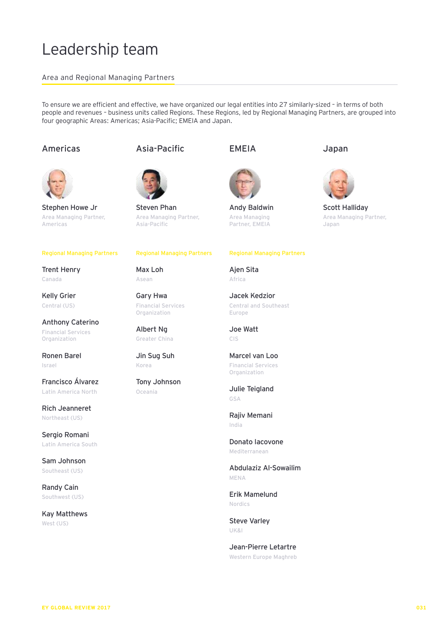# Leadership team

## Area and Regional Managing Partners

To ensure we are efficient and effective, we have organized our legal entities into 27 similarly-sized – in terms of both people and revenues – business units called Regions. These Regions, led by Regional Managing Partners, are grouped into four geographic Areas: Americas; Asia-Pacific; EMEIA and Japan.

## Americas



Stephen Howe Jr Area Managing Partner, Americas

#### Regional Managing Partners

Trent Henry Canada

Kelly Grier Central (US)

Anthony Caterino Financial Services Organization

Ronen Barel Israel

Francisco Álvarez Latin America North

Rich Jeanneret Northeast (US)

Sergio Romani Latin America South

Sam Johnson Southeast (US)

Randy Cain Southwest (US)

Kay Matthews West (US)

## Asia-Pacific



Steven Phan Area Managing Partner, Asia-Pacific

#### Regional Managing Partners

Max Loh Asean

Gary Hwa Financial Services Organization

Albert Ng Greater China

Jin Sug Suh Korea

Tony Johnson Oceania

## EMEIA



Andy Baldwin Area Managing Partner, EMEIA

### Regional Managing Partners

Ajen Sita Africa

Jacek Kedzior Central and Southeast Europe

Joe Watt CIS

Marcel van Loo Financial Services Organization

Julie Teigland GSA

Rajiv Memani India

Donato Iacovone Mediterranean

Abdulaziz Al-Sowailim MENA

Erik Mamelund Nordics

Steve Varley UK&I

Jean-Pierre Letartre Western Europe Maghreb





Scott Halliday Area Managing Partner, Japan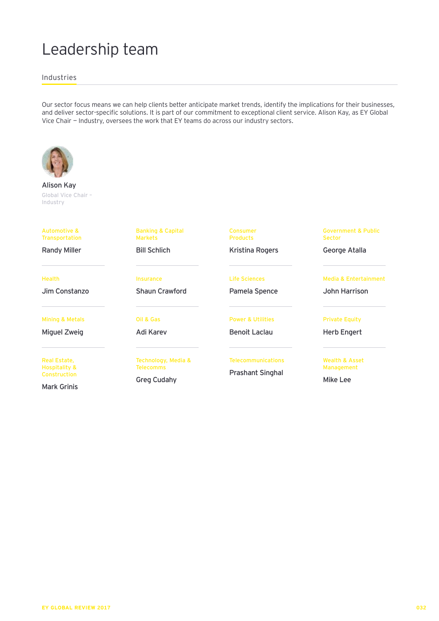# Leadership team

Industries

Our sector focus means we can help clients better anticipate market trends, identify the implications for their businesses, and deliver sector-specific solutions. It is part of our commitment to exceptional client service. Alison Kay, as EY Global Vice Chair — Industry, oversees the work that EY teams do across our industry sectors.



Alison Kay Global Vice Chair – Industry

#### Automotive & Transportation

Randy Miller

Health

Jim Constanzo

Mining & Metals

Miguel Zweig

Real Estate, Hospitality & Construction

Mark Grinis

Banking & Capital Markets Bill Schlich

Insurance Shaun Crawford

Oil & Gas Adi Karev

Technology, Media & Telecomms

Greg Cudahy

**Telecommunications** 

Power & Utilities Benoit Laclau

Consumer Products

Kristina Rogers

Life Sciences Pamela Spence

Prashant Singhal

Government & Public Sector

George Atalla

Media & Entertainment

John Harrison

Private Equity

Herb Engert

Wealth & Asset Management

Mike Lee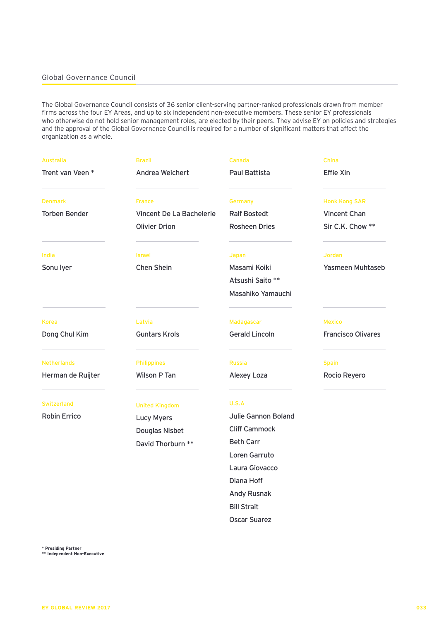## Global Governance Council

The Global Governance Council consists of 36 senior client-serving partner-ranked professionals drawn from member firms across the four EY Areas, and up to six independent non-executive members. These senior EY professionals who otherwise do not hold senior management roles, are elected by their peers. They advise EY on policies and strategies and the approval of the Global Governance Council is required for a number of significant matters that affect the organization as a whole.

| <b>Australia</b>     | <b>Brazil</b>            | Canada                | <b>China</b>              |
|----------------------|--------------------------|-----------------------|---------------------------|
| Trent van Veen*      | Andrea Weichert          | Paul Battista         | <b>Effie Xin</b>          |
| <b>Denmark</b>       | <b>France</b>            | Germany               | <b>Honk Kong SAR</b>      |
| <b>Torben Bender</b> | Vincent De La Bachelerie | <b>Ralf Bostedt</b>   | Vincent Chan              |
|                      | <b>Olivier Drion</b>     | <b>Rosheen Dries</b>  | Sir C.K. Chow **          |
| India                | <b>Israel</b>            | Japan                 | <b>Jordan</b>             |
| Sonu lyer            | Chen Shein               | Masami Koiki          | Yasmeen Muhtaseb          |
|                      |                          | Atsushi Saito **      |                           |
|                      |                          | Masahiko Yamauchi     |                           |
| Korea                | Latvia                   | Madagascar            | <b>Mexico</b>             |
| Dong Chul Kim        | <b>Guntars Krols</b>     | <b>Gerald Lincoln</b> | <b>Francisco Olivares</b> |
| <b>Netherlands</b>   | <b>Philippines</b>       | Russia                | <b>Spain</b>              |
| Herman de Ruijter    | Wilson P Tan             | Alexey Loza           | Rocio Reyero              |
| <b>Switzerland</b>   | <b>United Kingdom</b>    | U.S.A                 |                           |
| Robin Errico         | <b>Lucy Myers</b>        | Julie Gannon Boland   |                           |
|                      | Douglas Nisbet           | <b>Cliff Cammock</b>  |                           |
|                      | David Thorburn **        | <b>Beth Carr</b>      |                           |
|                      |                          | Loren Garruto         |                           |
|                      |                          | Laura Giovacco        |                           |
|                      |                          | Diana Hoff            |                           |
|                      |                          | Andy Rusnak           |                           |
|                      |                          | <b>Bill Strait</b>    |                           |

Oscar Suarez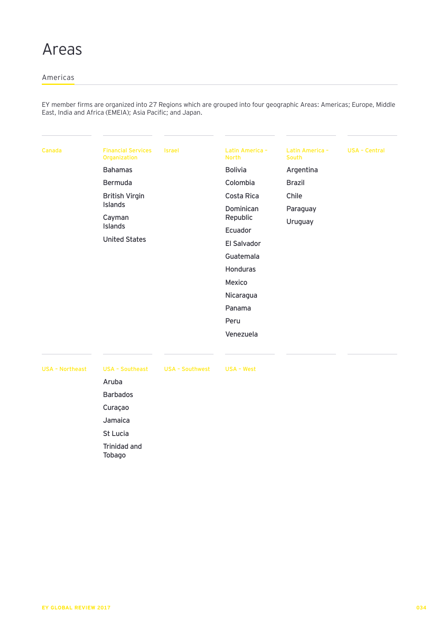## Americas

EY member firms are organized into 27 Regions which are grouped into four geographic Areas: Americas; Europe, Middle East, India and Africa (EMEIA); Asia Pacific; and Japan.

| Canada                 | <b>Financial Services</b><br>Organization | <b>Israel</b>          | Latin America -<br><b>North</b> | Latin America -<br><b>South</b> | <b>USA - Central</b> |
|------------------------|-------------------------------------------|------------------------|---------------------------------|---------------------------------|----------------------|
|                        | <b>Bahamas</b>                            |                        | <b>Bolivia</b>                  | Argentina                       |                      |
|                        | Bermuda                                   |                        | Colombia                        | <b>Brazil</b>                   |                      |
|                        | <b>British Virgin</b>                     |                        | Costa Rica                      | Chile                           |                      |
|                        | <b>Islands</b>                            |                        | Dominican                       | Paraguay                        |                      |
|                        | Cayman<br>Islands                         |                        | Republic                        | Uruguay                         |                      |
|                        |                                           |                        | Ecuador                         |                                 |                      |
|                        | <b>United States</b>                      |                        | <b>El Salvador</b>              |                                 |                      |
|                        |                                           |                        | Guatemala                       |                                 |                      |
|                        |                                           |                        | <b>Honduras</b>                 |                                 |                      |
|                        |                                           |                        | Mexico                          |                                 |                      |
|                        |                                           |                        | Nicaragua                       |                                 |                      |
|                        |                                           |                        | Panama                          |                                 |                      |
|                        |                                           |                        | Peru                            |                                 |                      |
|                        |                                           |                        | Venezuela                       |                                 |                      |
|                        |                                           |                        |                                 |                                 |                      |
|                        |                                           |                        |                                 |                                 |                      |
| <b>USA - Northeast</b> | <b>USA - Southeast</b>                    | <b>USA - Southwest</b> | <b>USA - West</b>               |                                 |                      |
|                        | Aruba                                     |                        |                                 |                                 |                      |
|                        | <b>Barbados</b>                           |                        |                                 |                                 |                      |

Curaçao Jamaica St Lucia Trinidad and Tobago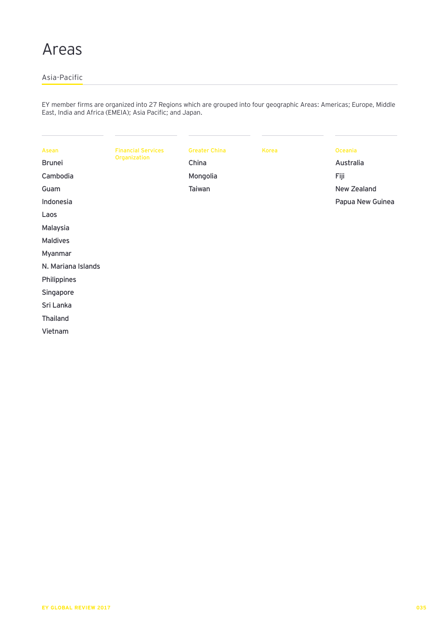# Areas

## Asia-Pacific

EY member firms are organized into 27 Regions which are grouped into four geographic Areas: Americas; Europe, Middle East, India and Africa (EMEIA); Asia Pacific; and Japan.

| Asean              | <b>Financial Services</b> | <b>Greater China</b> | Korea | Oceania            |
|--------------------|---------------------------|----------------------|-------|--------------------|
| <b>Brunei</b>      | Organization              | China                |       | Australia          |
| Cambodia           |                           | Mongolia             |       | Fiji               |
| Guam               |                           | Taiwan               |       | <b>New Zealand</b> |
| Indonesia          |                           |                      |       | Papua New Guinea   |
| Laos               |                           |                      |       |                    |
| Malaysia           |                           |                      |       |                    |
| <b>Maldives</b>    |                           |                      |       |                    |
| Myanmar            |                           |                      |       |                    |
| N. Mariana Islands |                           |                      |       |                    |
| Philippines        |                           |                      |       |                    |
| Singapore          |                           |                      |       |                    |
| Sri Lanka          |                           |                      |       |                    |
| <b>Thailand</b>    |                           |                      |       |                    |
| Vietnam            |                           |                      |       |                    |
|                    |                           |                      |       |                    |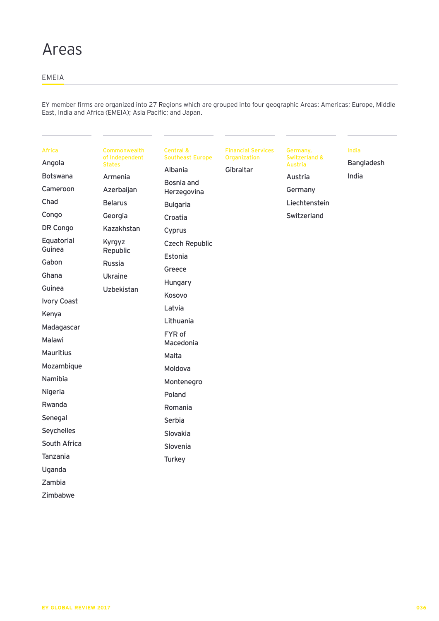# Areas

## EMEIA

EY member firms are organized into 27 Regions which are grouped into four geographic Areas: Americas; Europe, Middle East, India and Africa (EMEIA); Asia Pacific; and Japan.

| <b>Africa</b>      | Commonwealth<br>of Independent | <b>Central &amp;</b><br><b>Southeast Europe</b> | <b>Financial Services</b><br>Organization | Germany,<br><b>Switzerland &amp;</b> | India             |
|--------------------|--------------------------------|-------------------------------------------------|-------------------------------------------|--------------------------------------|-------------------|
| Angola             | <b>States</b>                  | Albania                                         | Gibraltar                                 | <b>Austria</b>                       | <b>Bangladesh</b> |
| <b>Botswana</b>    | Armenia                        | Bosnia and                                      |                                           | Austria                              | India             |
| Cameroon           | Azerbaijan                     | Herzegovina                                     |                                           | Germany                              |                   |
| Chad               | <b>Belarus</b>                 | <b>Bulgaria</b>                                 |                                           | Liechtenstein                        |                   |
| Congo              | Georgia                        | Croatia                                         |                                           | Switzerland                          |                   |
| DR Congo           | Kazakhstan                     | Cyprus                                          |                                           |                                      |                   |
| Equatorial         | Kyrgyz                         | <b>Czech Republic</b>                           |                                           |                                      |                   |
| Guinea             | Republic                       | Estonia                                         |                                           |                                      |                   |
| Gabon              | <b>Russia</b>                  | Greece                                          |                                           |                                      |                   |
| Ghana              | <b>Ukraine</b>                 | Hungary                                         |                                           |                                      |                   |
| Guinea             | Uzbekistan                     | Kosovo                                          |                                           |                                      |                   |
| <b>Ivory Coast</b> |                                |                                                 |                                           |                                      |                   |
| Kenya              |                                | Latvia                                          |                                           |                                      |                   |
| Madagascar         |                                | Lithuania                                       |                                           |                                      |                   |
| <b>Malawi</b>      |                                | FYR of<br>Macedonia                             |                                           |                                      |                   |
| <b>Mauritius</b>   |                                | Malta                                           |                                           |                                      |                   |
| Mozambique         |                                | Moldova                                         |                                           |                                      |                   |
| Namibia            |                                | Montenegro                                      |                                           |                                      |                   |
| Nigeria            |                                | Poland                                          |                                           |                                      |                   |
| Rwanda             |                                | Romania                                         |                                           |                                      |                   |
| Senegal            |                                | Serbia                                          |                                           |                                      |                   |
| <b>Seychelles</b>  |                                | Slovakia                                        |                                           |                                      |                   |
| South Africa       |                                | Slovenia                                        |                                           |                                      |                   |
| Tanzania           |                                | Turkey                                          |                                           |                                      |                   |
| Uganda             |                                |                                                 |                                           |                                      |                   |
| Zambia             |                                |                                                 |                                           |                                      |                   |

Zimbabwe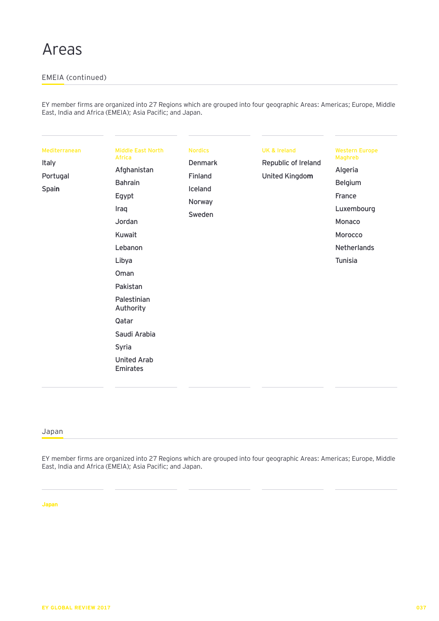## EMEIA (continued)

EY member firms are organized into 27 Regions which are grouped into four geographic Areas: Americas; Europe, Middle East, India and Africa (EMEIA); Asia Pacific; and Japan.

| Mediterranean<br><b>Italy</b><br>Portugal<br>Spain | <b>Middle East North</b><br><b>Africa</b><br>Afghanistan<br><b>Bahrain</b><br>Egypt<br>Iraq<br>Jordan<br>Kuwait<br>Lebanon<br>Libya<br>Oman<br>Pakistan<br>Palestinian<br>Authority | <b>Nordics</b><br><b>Denmark</b><br>Finland<br>Iceland<br>Norway<br>Sweden | <b>UK &amp; Ireland</b><br>Republic of Ireland<br>United Kingdom | <b>Western Europe</b><br><b>Maghreb</b><br>Algeria<br><b>Belgium</b><br>France<br>Luxembourg<br>Monaco<br>Morocco<br><b>Netherlands</b><br>Tunisia |
|----------------------------------------------------|-------------------------------------------------------------------------------------------------------------------------------------------------------------------------------------|----------------------------------------------------------------------------|------------------------------------------------------------------|----------------------------------------------------------------------------------------------------------------------------------------------------|
|                                                    | Qatar<br>Saudi Arabia<br>Syria<br><b>United Arab</b>                                                                                                                                |                                                                            |                                                                  |                                                                                                                                                    |

## Japan

EY member firms are organized into 27 Regions which are grouped into four geographic Areas: Americas; Europe, Middle East, India and Africa (EMEIA); Asia Pacific; and Japan.

**Japan**